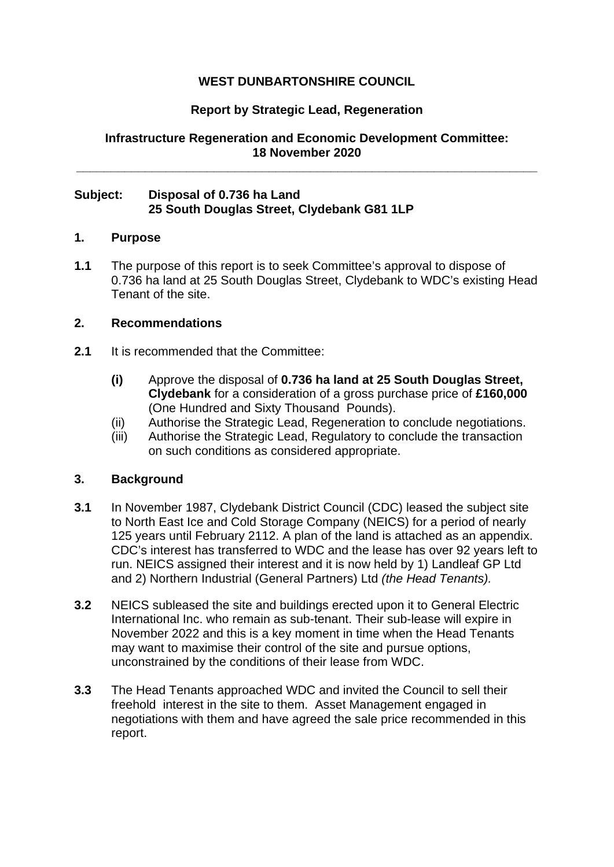# **WEST DUNBARTONSHIRE COUNCIL**

## **Report by Strategic Lead, Regeneration**

**Infrastructure Regeneration and Economic Development Committee: 18 November 2020**

**\_\_\_\_\_\_\_\_\_\_\_\_\_\_\_\_\_\_\_\_\_\_\_\_\_\_\_\_\_\_\_\_\_\_\_\_\_\_\_\_\_\_\_\_\_\_\_\_\_\_\_\_\_\_\_\_\_\_\_\_\_\_\_\_\_\_\_**

## **Subject: Disposal of 0.736 ha Land 25 South Douglas Street, Clydebank G81 1LP**

#### **1. Purpose**

**1.1** The purpose of this report is to seek Committee's approval to dispose of 0.736 ha land at 25 South Douglas Street, Clydebank to WDC's existing Head Tenant of the site.

### **2. Recommendations**

- **2.1** It is recommended that the Committee:
	- **(i)** Approve the disposal of **0.736 ha land at 25 South Douglas Street, Clydebank** for a consideration of a gross purchase price of **£160,000** (One Hundred and Sixty Thousand Pounds).
	- (ii) Authorise the Strategic Lead, Regeneration to conclude negotiations.
	- (iii) Authorise the Strategic Lead, Regulatory to conclude the transaction on such conditions as considered appropriate.

### **3. Background**

- **3.1** In November 1987, Clydebank District Council (CDC) leased the subject site to North East Ice and Cold Storage Company (NEICS) for a period of nearly 125 years until February 2112. A plan of the land is attached as an appendix. CDC's interest has transferred to WDC and the lease has over 92 years left to run. NEICS assigned their interest and it is now held by 1) Landleaf GP Ltd and 2) Northern Industrial (General Partners) Ltd *(the Head Tenants).*
- **3.2** NEICS subleased the site and buildings erected upon it to General Electric International Inc. who remain as sub-tenant. Their sub-lease will expire in November 2022 and this is a key moment in time when the Head Tenants may want to maximise their control of the site and pursue options, unconstrained by the conditions of their lease from WDC.
- **3.3** The Head Tenants approached WDC and invited the Council to sell their freehold interest in the site to them. Asset Management engaged in negotiations with them and have agreed the sale price recommended in this report.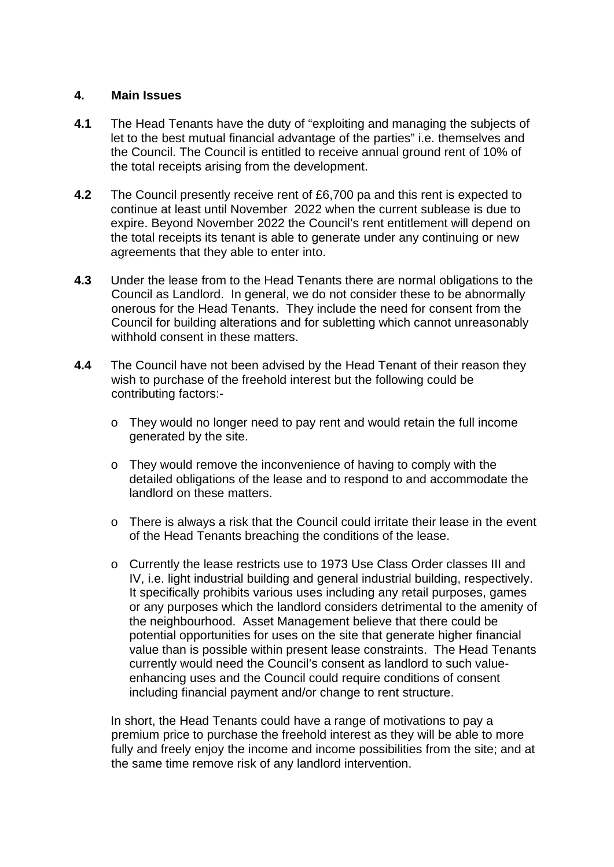#### **4. Main Issues**

- **4.1** The Head Tenants have the duty of "exploiting and managing the subjects of let to the best mutual financial advantage of the parties" i.e. themselves and the Council. The Council is entitled to receive annual ground rent of 10% of the total receipts arising from the development.
- **4.2** The Council presently receive rent of £6,700 pa and this rent is expected to continue at least until November 2022 when the current sublease is due to expire. Beyond November 2022 the Council's rent entitlement will depend on the total receipts its tenant is able to generate under any continuing or new agreements that they able to enter into.
- **4.3** Under the lease from to the Head Tenants there are normal obligations to the Council as Landlord. In general, we do not consider these to be abnormally onerous for the Head Tenants. They include the need for consent from the Council for building alterations and for subletting which cannot unreasonably withhold consent in these matters.
- **4.4** The Council have not been advised by the Head Tenant of their reason they wish to purchase of the freehold interest but the following could be contributing factors:
	- o They would no longer need to pay rent and would retain the full income generated by the site.
	- o They would remove the inconvenience of having to comply with the detailed obligations of the lease and to respond to and accommodate the landlord on these matters.
	- o There is always a risk that the Council could irritate their lease in the event of the Head Tenants breaching the conditions of the lease.
	- o Currently the lease restricts use to 1973 Use Class Order classes III and IV, i.e. light industrial building and general industrial building, respectively. It specifically prohibits various uses including any retail purposes, games or any purposes which the landlord considers detrimental to the amenity of the neighbourhood. Asset Management believe that there could be potential opportunities for uses on the site that generate higher financial value than is possible within present lease constraints. The Head Tenants currently would need the Council's consent as landlord to such valueenhancing uses and the Council could require conditions of consent including financial payment and/or change to rent structure.

In short, the Head Tenants could have a range of motivations to pay a premium price to purchase the freehold interest as they will be able to more fully and freely enjoy the income and income possibilities from the site; and at the same time remove risk of any landlord intervention.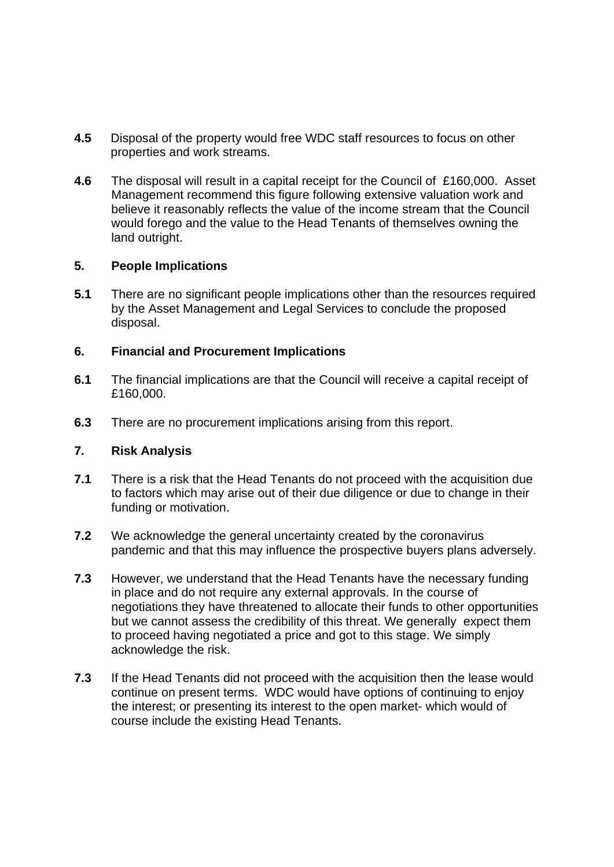- **4.5** Disposal of the property would free WDC staff resources to focus on other properties and work streams.
- **4.6** The disposal will result in a capital receipt for the Council of £160,000. Asset Management recommend this figure following extensive valuation work and believe it reasonably reflects the value of the income stream that the Council would forego and the value to the Head Tenants of themselves owning the land outright.

# **5. People Implications**

**5.1** There are no significant people implications other than the resources required by the Asset Management and Legal Services to conclude the proposed disposal.

### **6. Financial and Procurement Implications**

- **6.1** The financial implications are that the Council will receive a capital receipt of £160,000.
- **6.3** There are no procurement implications arising from this report.

## **7. Risk Analysis**

- **7.1** There is a risk that the Head Tenants do not proceed with the acquisition due to factors which may arise out of their due diligence or due to change in their funding or motivation.
- **7.2** We acknowledge the general uncertainty created by the coronavirus pandemic and that this may influence the prospective buyers plans adversely.
- **7.3** However, we understand that the Head Tenants have the necessary funding in place and do not require any external approvals. In the course of negotiations they have threatened to allocate their funds to other opportunities but we cannot assess the credibility of this threat. We generally expect them to proceed having negotiated a price and got to this stage. We simply acknowledge the risk.
- **7.3** If the Head Tenants did not proceed with the acquisition then the lease would continue on present terms. WDC would have options of continuing to enjoy the interest; or presenting its interest to the open market- which would of course include the existing Head Tenants.